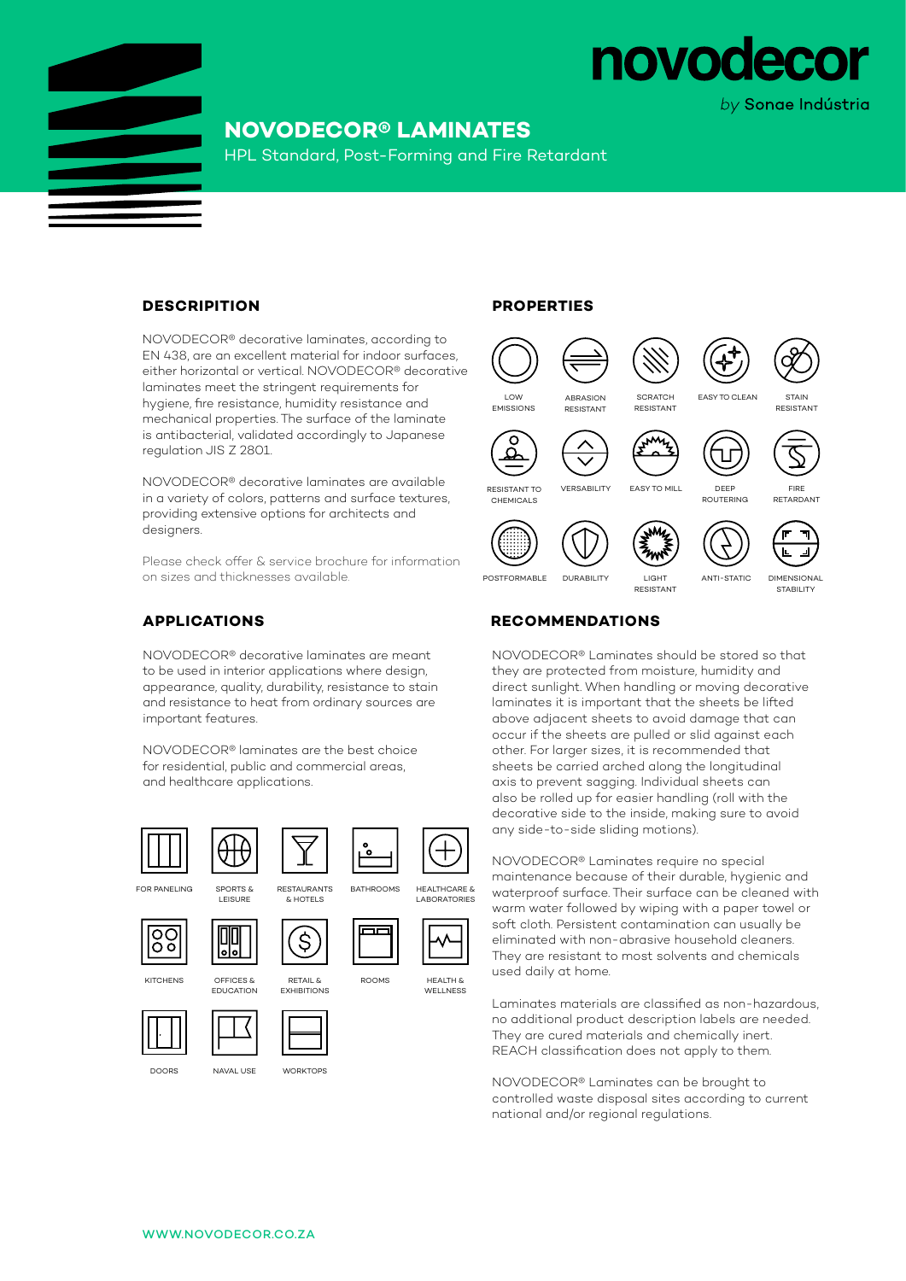

## **NOVODECOR® LAMINATES**

HPL Standard, Post-Forming and Fire Retardant

#### **DESCRIPITION**

NOVODECOR® decorative laminates, according to EN 438, are an excellent material for indoor surfaces, either horizontal or vertical. NOVODECOR® decorative laminates meet the stringent requirements for hygiene, fire resistance, humidity resistance and mechanical properties. The surface of the laminate is antibacterial, validated accordingly to Japanese regulation JIS Z 2801.

NOVODECOR® decorative laminates are available in a variety of colors, patterns and surface textures, providing extensive options for architects and designers.

Please check offer & service brochure for information on sizes and thicknesses available.

#### **APPLICATIONS**

NOVODECOR® decorative laminates are meant to be used in interior applications where design, appearance, quality, durability, resistance to stain and resistance to heat from ordinary sources are important features.

NOVODECOR® laminates are the best choice for residential, public and commercial areas, and healthcare applications.









OFFICES &



**KITCHENS** 





RETAIL &

်\$

& HOTELS









LABORATORIES



WELLNESS





they are protected from moisture, humidity and direct sunlight. When handling or moving decorative laminates it is important that the sheets be lifted above adjacent sheets to avoid damage that can occur if the sheets are pulled or slid against each other. For larger sizes, it is recommended that sheets be carried arched along the longitudinal axis to prevent sagging. Individual sheets can also be rolled up for easier handling (roll with the decorative side to the inside, making sure to avoid any side-to-side sliding motions).

NOVODECOR® Laminates should be stored so that

RESISTANT

NOVODECOR® Laminates require no special maintenance because of their durable, hygienic and waterproof surface. Their surface can be cleaned with warm water followed by wiping with a paper towel or soft cloth. Persistent contamination can usually be eliminated with non-abrasive household cleaners. They are resistant to most solvents and chemicals used daily at home.

Laminates materials are classified as non-hazardous, no additional product description labels are needed. They are cured materials and chemically inert. REACH classification does not apply to them.

NOVODECOR® Laminates can be brought to controlled waste disposal sites according to current national and/or regional regulations.





POSTFORMABLE DURABILITY LIGHT ANTI-STATIC

**DIMENSIONAL** STABILITY

## **RECOMMENDATIONS**



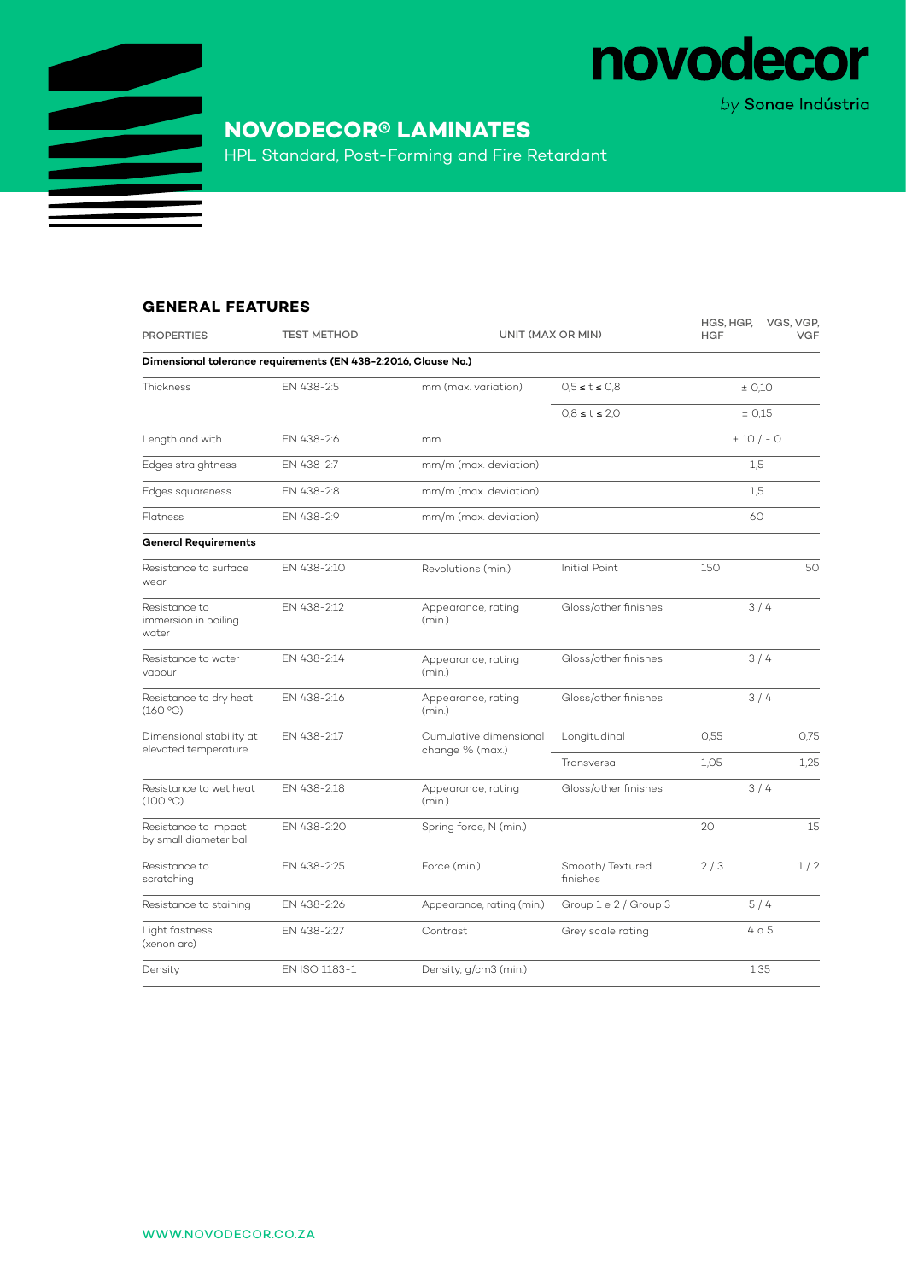

# **NOVODECOR® LAMINATES**

HPL Standard, Post-Forming and Fire Retardant

### **GENERAL FEATURES**

| <b>PROPERTIES</b>                                              | <b>TEST METHOD</b> | UNIT (MAX OR MIN)                         |                             | HGS, HGP,<br><b>HGF</b> | VGS, VGP,<br><b>VGF</b> |  |  |  |  |
|----------------------------------------------------------------|--------------------|-------------------------------------------|-----------------------------|-------------------------|-------------------------|--|--|--|--|
| Dimensional tolerance requirements (EN 438-2:2016, Clause No.) |                    |                                           |                             |                         |                         |  |  |  |  |
| Thickness                                                      | EN 438-2:5         | mm (max. variation)                       | $0.5 \le t \le 0.8$         | ± 0,10                  |                         |  |  |  |  |
|                                                                |                    |                                           | $0.8 \le t \le 2.0$         | ± 0.15                  |                         |  |  |  |  |
| Length and with                                                | EN 438-2:6         | mm                                        |                             | $+10/-0$                |                         |  |  |  |  |
| Edges straightness                                             | EN 438-2:7         | mm/m (max. deviation)                     |                             | 1,5                     |                         |  |  |  |  |
| Edges squareness                                               | EN 438-2:8         | mm/m (max. deviation)                     |                             | 1,5                     |                         |  |  |  |  |
| Flatness                                                       | EN 438-2:9         | mm/m (max. deviation)                     |                             | 60                      |                         |  |  |  |  |
| <b>General Requirements</b>                                    |                    |                                           |                             |                         |                         |  |  |  |  |
| Resistance to surface<br>wear                                  | EN 438-2:10        | Revolutions (min.)                        | <b>Initial Point</b>        | 150                     | 50                      |  |  |  |  |
| Resistance to<br>immersion in boiling<br>water                 | EN 438-2:12        | Appearance, rating<br>(min.)              | Gloss/other finishes        | 3/4                     |                         |  |  |  |  |
| Resistance to water<br>vapour                                  | EN 438-2:14        | Appearance, rating<br>(min.)              | Gloss/other finishes        | 3/4                     |                         |  |  |  |  |
| Resistance to dry heat<br>(160 °C)                             | EN 438-2:16        | Appearance, rating<br>(min.)              | Gloss/other finishes        | 3/4                     |                         |  |  |  |  |
| Dimensional stability at<br>elevated temperature               | EN 438-2:17        | Cumulative dimensional<br>change % (max.) | Longitudinal                | 0.55                    | 0,75                    |  |  |  |  |
|                                                                |                    |                                           | Transversal                 | 1.05                    | 1.25                    |  |  |  |  |
| Resistance to wet heat<br>(100 °C)                             | EN 438-2:18        | Appearance, rating<br>(min.)              | Gloss/other finishes        | 3/4                     |                         |  |  |  |  |
| Resistance to impact<br>by small diameter ball                 | EN 438-2:20        | Spring force, N (min.)                    |                             | 20 <sub>o</sub>         | 15                      |  |  |  |  |
| Resistance to<br>scratching                                    | EN 438-2:25        | Force (min.)                              | Smooth/Textured<br>finishes | 2/3                     | 1/2                     |  |  |  |  |
| Resistance to staining                                         | EN 438-2:26        | Appearance, rating (min.)                 | Group 1 e 2 / Group 3       | 5/4                     |                         |  |  |  |  |
| Light fastness<br>(xenon arc)                                  | EN 438-2:27        | Contrast                                  | Grey scale rating           | 4a5                     |                         |  |  |  |  |
| Density                                                        | EN ISO 1183-1      | Density, g/cm3 (min.)                     |                             | 1,35                    |                         |  |  |  |  |